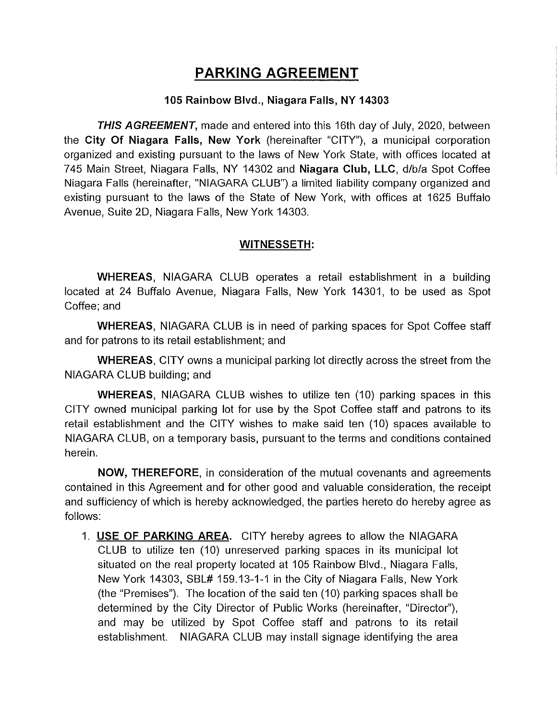## PARKING AGREEMENT

## 105 Rainbow Blvd., Niagara Falls, NY 14303

THIS AGREEMENT, made and entered into this 16th day of July, 2020, between the City Of Niagara Falls, New York (hereinafter "CITY"), a municipal corporation organized and existing pursuant to the laws of New York State, with offices located at 745 Main Street, Niagara Falls, NY 14302 and Niagara Club, LLC, d/b/a Spot Coffee Niagara Falls (hereinafter, "NIAGARA CLUB") a limited liability company organized and existing pursuant to the laws of the State of New York, with offices at 1625 Buffalo Avenue, Suite 2D, Niagara Falls, New York 14303.

## WITNESSETH:

WHEREAS, NIAGARA CLUB operates a retail establishment in a building located at 24 Buffalo Avenue, Niagara Falls, New York 14301, to be used as Spot Coffee; and

WHEREAS, NIAGARA CLUB is in need of parking spaces for Spot Coffee staff and for patrons to its retail establishment; and

WHEREAS, CITY owns a municipal parking lot directly across the street from the NIAGARA CLUB building; and

WHEREAS, NIAGARA CLUB wishes to utilize ten (10) parking spaces in this CITY owned municipal parking lot for use by the Spot Coffee staff and patrons to its retail establishment and the CiTY wishes to make said ten (10) spaces available to NIAGARA CLUB, on a temporary basis, pursuant to the terms and conditions contained herein.

NOW, THEREFORE, in consideration of the mutual covenants and agreements contained in this Agreement and for other good and valuable consideration, the receipt and sufficiency of which is hereby acknowledged, the parties hereto do hereby agree as follows:

1. USE OF PARKING AREA. CITY hereby agrees to allow the NIAGARA CLUB to utilize ten (10) unreserved parking spaces in its municipal lot situated on the real property located at 105 Rainbow Blvd., Niagara Fails, New York 14303, SBL# 159.13-1-1 in the City of Niagara Fails, New York (the "Premises"). The location of the said ten (10) parking spaces shall be determined by the City Director of Public Works (hereinafter, "Director"), and may be utilized by Spot Coffee staff and patrons to its retail establishment. NIAGARA CLUB may install signage identifying the area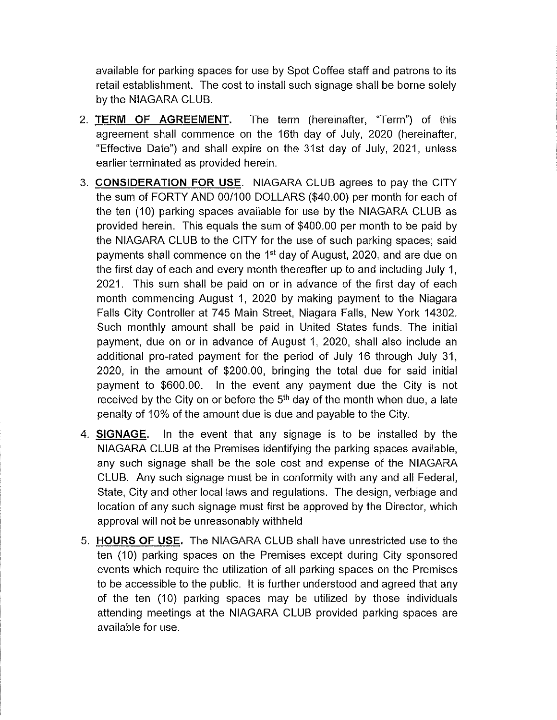available for parking spaces for use by Spot Coffee staff and patrons to its retail establishment. The cost to install such signage shall be borne solely by the NIAGARA CLUB.

- 2. TERM OF AGREEMENT. The term (hereinafter, "Term") of this agreement shall commence on the 16th day of July, 2020 (hereinafter, "Effective Date") and shal! expire on the 31st day of July, 2021, unless earlier terminated as provided herein.
- 3. CONSIDERATION FOR USE. NIAGARA CLUB agrees to pay the CITY the sum of FORTY AND 00/100 DOLLARS (\$40.00) per month for each of the ten (10) parking spaces available for use by the NIAGARA CLUB as provided herein. This equals the sum of \$400.00 per month to be paid by the NIAGARA CLUB to the CITY for the use of such parking spaces; said payments shall commence on the 1<sup>st</sup> day of August, 2020, and are due on the first day of each and every month thereafter up to and including July 1, 2021. This sum shal! be paid on or in advance of the first day of each month commencing August 1, 2020 by making payment to the Niagara Falls City Controller at 745 Main Street, Niagara Falls, New York 14302. Such monthly amount shall be paid in United States funds. The initial payment, due on or in advance of August 1, 2020, shall also include an additional pro-rated payment for the period of July 16 through July 31, 2020, in the amount of \$200.00, bringing the total due for said initial payment to \$600.00. In the event any payment due the City is not received by the City on or before the  $5<sup>th</sup>$  day of the month when due, a late penalty of 10% of the amount due is due and payable to the City.
- 4. SIGNAGE. In the event that any signage is to be installed by the NIAGARA CLUB at the Premises identifying the parking spaces available, any such signage shall be the sole cost and expense of the NIAGARA CLUB. Any such signage must be in conformity with any and all Federal, State, City and other local laws and regulations. The design, verbiage and location of any such signage must first be approved by the Director, which approval will not be unreasonably withheld
- 5. **HOURS OF USE.** The NIAGARA CLUB shall have unrestricted use to the ten (10) parking spaces on the Premises except during City sponsored events which require the utilization of al! parking spaces on the Premises to be accessible to the public. !t is further understood and agreed that any of the ten (10) parking spaces may be utilized by those individuals attending meetings at the NIAGARA CLUB provided parking spaces are available for use.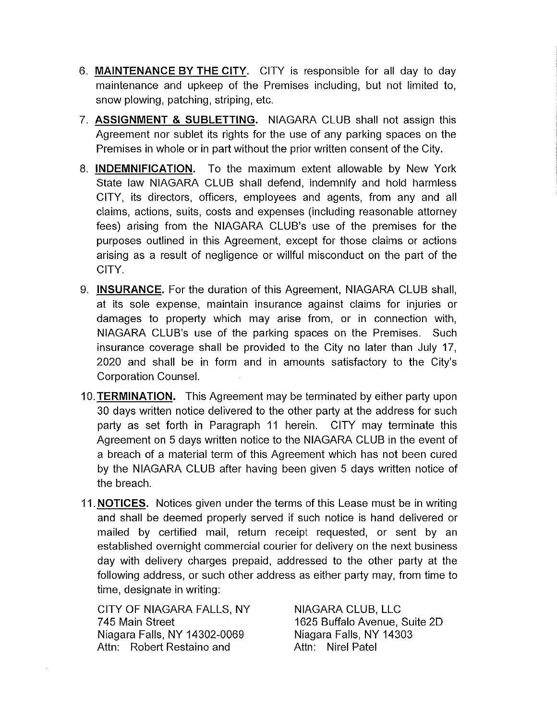- 6. MAINTENANCE BY THE CITY. CITY is responsible for all day to day maintenance and upkeep of the Premises including, but not limited to, snow plowing, patching, striping, etc.
- 7. ASSIGNMENT & SUBLETTING. NIAGARA CLUB shall not assign this Agreement nor sublet its rights for the use of any parking spaces on the Premises in whole or in part without the prior written consent of the City.
- 8. **INDEMNIFICATION.** To the maximum extent allowable by New York State law NIAGARA CLUB shall defend, indemnify and hold harmless CITY, its directors, officers, employees and agents, from any and all claims, actions, suits, costs and expenses (including reasonable attorney fees) arising from the NIAGARA CLUB'S use of the premises for the purposes outlined in this Agreement, except for those claims or actions arising as a result of negligence or willful misconduct on the part of the CITY.
- 9. INSURANCE. For the duration of this Agreement, NIAGARA CLUB shall, at its sole expense, maintain insurance against claims for injuries or damages to property which may arise from, or in connection with, NIAGARA CLUB'S use of the parking spaces on the Premises. Such insurance coverage shall be provided to the City no later than July 17, 2020 and shal! be in form and in amounts satisfactory to the City's Corporation Counsel.
- 10. TERMINATION. This Agreement may be terminated by either party upon 30 days written notice delivered to the other party at the address for such party as set forth in Paragraph 11 herein. CITY may terminate this Agreement on 5 days written notice to the NIAGARA CLUB in the event of a breach of a material term of this Agreement which has not been cured by the NIAGARA CLUB after having been given 5 days written notice of the breach.
- 11. **NOTICES.** Notices given under the terms of this Lease must be in writing and shall be deemed properly served if such notice is hand delivered or mailed by certified mail, return receipt requested, or sent by an established overnight commercial courier for delivery on the next business day with delivery charges prepaid, addressed to the other party at the following address, or such other address as either party may, from time to time, designate in writing:

CiTY OF NIAGARA FALLS, NY NIAGARA CLUB, LLC 745 Main Street 1625 Buffalo Avenue, Suite 2D Niagara Falls, NY 14302-0069 Niagara Fails, NY 14303 Attn: Robert Restaino and **Attn: Nirel Patel**